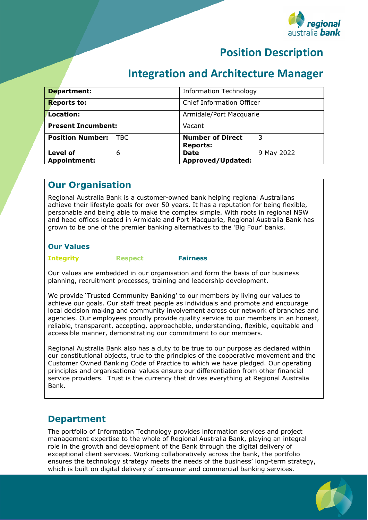

# **Position Description**

# **Integration and Architecture Manager**

| <b>Department:</b>                     |            | <b>Information Technology</b>              |            |
|----------------------------------------|------------|--------------------------------------------|------------|
| <b>Reports to:</b>                     |            | <b>Chief Information Officer</b>           |            |
| Location:                              |            | Armidale/Port Macquarie                    |            |
| <b>Present Incumbent:</b>              |            | Vacant                                     |            |
| <b>Position Number:</b>                | <b>TBC</b> | <b>Number of Direct</b><br><b>Reports:</b> | -3         |
| <b>Level of</b><br><b>Appointment:</b> | 6          | <b>Date</b><br>Approved/Updated:           | 9 May 2022 |

### **Our Organisation**

Regional Australia Bank is a customer-owned bank helping regional Australians achieve their lifestyle goals for over 50 years. It has a reputation for being flexible, personable and being able to make the complex simple. With roots in regional NSW and head offices located in Armidale and Port Macquarie, Regional Australia Bank has grown to be one of the premier banking alternatives to the 'Big Four' banks.

#### **Our Values**

**Integrity Respect Fairness**

Our values are embedded in our organisation and form the basis of our business planning, recruitment processes, training and leadership development.

We provide 'Trusted Community Banking' to our members by living our values to achieve our goals. Our staff treat people as individuals and promote and encourage local decision making and community involvement across our network of branches and agencies. Our employees proudly provide quality service to our members in an honest, reliable, transparent, accepting, approachable, understanding, flexible, equitable and accessible manner, demonstrating our commitment to our members.

Regional Australia Bank also has a duty to be true to our purpose as declared within our constitutional objects, true to the principles of the cooperative movement and the Customer Owned Banking Code of Practice to which we have pledged. Our operating principles and organisational values ensure our differentiation from other financial service providers. Trust is the currency that drives everything at Regional Australia Bank.

### **Department**

The portfolio of Information Technology provides information services and project management expertise to the whole of Regional Australia Bank, playing an integral role in the growth and development of the Bank through the digital delivery of exceptional client services. Working collaboratively across the bank, the portfolio ensures the technology strategy meets the needs of the business' long-term strategy, which is built on digital delivery of consumer and commercial banking services.

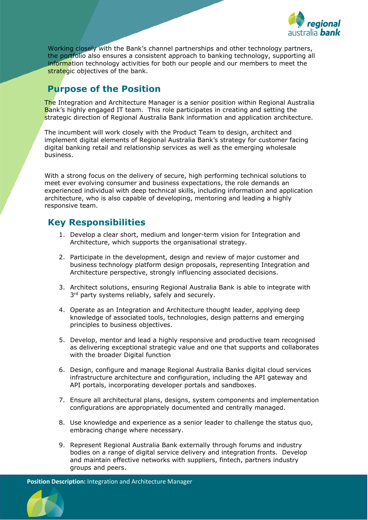

Working closely with the Bank's channel partnerships and other technology partners, the portfolio also ensures a consistent approach to banking technology, supporting all information technology activities for both our people and our members to meet the strategic objectives of the bank.

## **Purpose of the Position**

The Integration and Architecture Manager is a senior position within Regional Australia Bank's highly engaged IT team. This role participates in creating and setting the strategic direction of Regional Australia Bank information and application architecture.

The incumbent will work closely with the Product Team to design, architect and implement digital elements of Regional Australia Bank's strategy for customer facing digital banking retail and relationship services as well as the emerging wholesale business.

With a strong focus on the delivery of secure, high performing technical solutions to meet ever evolving consumer and business expectations, the role demands an experienced individual with deep technical skills, including information and application architecture, who is also capable of developing, mentoring and leading a highly responsive team.

### **Key Responsibilities**

- 1. Develop a clear short, medium and longer-term vision for Integration and Architecture, which supports the organisational strategy.
- 2. Participate in the development, design and review of major customer and business technology platform design proposals, representing Integration and Architecture perspective, strongly influencing associated decisions.
- 3. Architect solutions, ensuring Regional Australia Bank is able to integrate with  $3<sup>rd</sup>$  party systems reliably, safely and securely.
- 4. Operate as an Integration and Architecture thought leader, applying deep knowledge of associated tools, technologies, design patterns and emerging principles to business objectives.
- 5. Develop, mentor and lead a highly responsive and productive team recognised as delivering exceptional strategic value and one that supports and collaborates with the broader Digital function
- 6. Design, configure and manage Regional Australia Banks digital cloud services infrastructure architecture and configuration, including the API gateway and API portals, incorporating developer portals and sandboxes.
- 7. Ensure all architectural plans, designs, system components and implementation configurations are appropriately documented and centrally managed.
- 8. Use knowledge and experience as a senior leader to challenge the status quo, embracing change where necessary.
- 9. Represent Regional Australia Bank externally through forums and industry bodies on a range of digital service delivery and integration fronts. Develop and maintain effective networks with suppliers, fintech, partners industry groups and peers.

**Position Description:** Integration and Architecture Manager

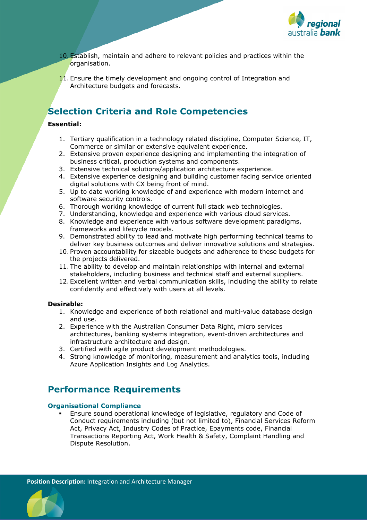

- 10. Establish, maintain and adhere to relevant policies and practices within the organisation.
- 11. Ensure the timely development and ongoing control of Integration and Architecture budgets and forecasts.

# **Selection Criteria and Role Competencies**

#### **Essential:**

- 1. Tertiary qualification in a technology related discipline, Computer Science, IT, Commerce or similar or extensive equivalent experience.
- 2. Extensive proven experience designing and implementing the integration of business critical, production systems and components.
- 3. Extensive technical solutions/application architecture experience.
- 4. Extensive experience designing and building customer facing service oriented digital solutions with CX being front of mind.
- 5. Up to date working knowledge of and experience with modern internet and software security controls.
- 6. Thorough working knowledge of current full stack web technologies.
- 7. Understanding, knowledge and experience with various cloud services.
- 8. Knowledge and experience with various software development paradigms, frameworks and lifecycle models.
- 9. Demonstrated ability to lead and motivate high performing technical teams to deliver key business outcomes and deliver innovative solutions and strategies.
- 10. Proven accountability for sizeable budgets and adherence to these budgets for the projects delivered.
- 11. The ability to develop and maintain relationships with internal and external stakeholders, including business and technical staff and external suppliers.
- 12. Excellent written and verbal communication skills, including the ability to relate confidently and effectively with users at all levels.

#### **Desirable:**

- 1. Knowledge and experience of both relational and multi-value database design and use.
- 2. Experience with the Australian Consumer Data Right, micro services architectures, banking systems integration, event-driven architectures and infrastructure architecture and design.
- 3. Certified with agile product development methodologies.
- 4. Strong knowledge of monitoring, measurement and analytics tools, including Azure Application Insights and Log Analytics.

## **Performance Requirements**

#### **Organisational Compliance**

 Ensure sound operational knowledge of legislative, regulatory and Code of Conduct requirements including (but not limited to), Financial Services Reform Act, Privacy Act, Industry Codes of Practice, Epayments code, Financial Transactions Reporting Act, Work Health & Safety, Complaint Handling and Dispute Resolution.

**Position Description:** Integration and Architecture Manager

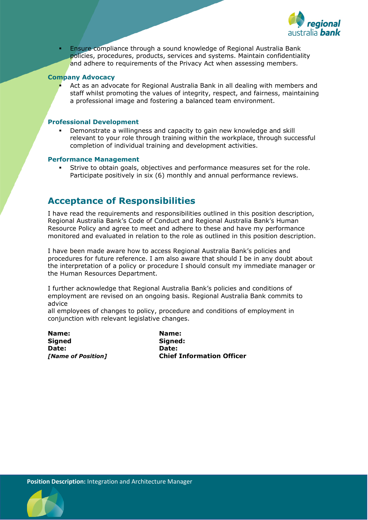

 Ensure compliance through a sound knowledge of Regional Australia Bank policies, procedures, products, services and systems. Maintain confidentiality and adhere to requirements of the Privacy Act when assessing members.

#### **Company Advocacy**

 Act as an advocate for Regional Australia Bank in all dealing with members and staff whilst promoting the values of integrity, respect, and fairness, maintaining a professional image and fostering a balanced team environment.

#### **Professional Development**

 Demonstrate a willingness and capacity to gain new knowledge and skill relevant to your role through training within the workplace, through successful completion of individual training and development activities.

#### **Performance Management**

 Strive to obtain goals, objectives and performance measures set for the role. Participate positively in six (6) monthly and annual performance reviews.

### **Acceptance of Responsibilities**

I have read the requirements and responsibilities outlined in this position description, Regional Australia Bank's Code of Conduct and Regional Australia Bank's Human Resource Policy and agree to meet and adhere to these and have my performance monitored and evaluated in relation to the role as outlined in this position description.

I have been made aware how to access Regional Australia Bank's policies and procedures for future reference. I am also aware that should I be in any doubt about the interpretation of a policy or procedure I should consult my immediate manager or the Human Resources Department.

I further acknowledge that Regional Australia Bank's policies and conditions of employment are revised on an ongoing basis. Regional Australia Bank commits to advice

all employees of changes to policy, procedure and conditions of employment in conjunction with relevant legislative changes.

**Name: Name: Date: Date:**

**Signed:** *[Name of Position]* **Chief Information Officer**